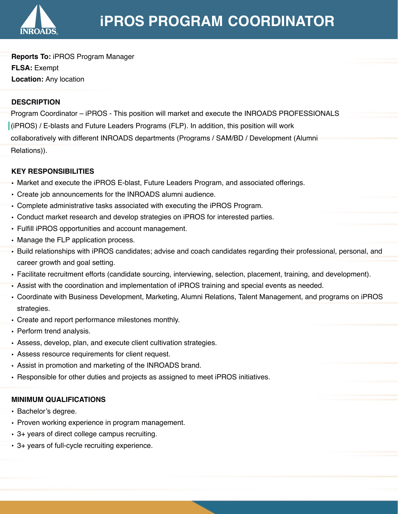

**Reports To:** iPROS Program Manager **FLSA:** Exempt **Location:** Any location

# **DESCRIPTION**

Program Coordinator – iPROS - This position will market and execute the INROADS PROFESSIONALS (iPROS) / E-blasts and Future Leaders Programs (FLP). In addition, this position will work collaboratively with different INROADS departments (Programs / SAM/BD / Development (Alumni Relations)).

## **KEY RESPONSIBILITIES**

- Market and execute the iPROS E-blast, Future Leaders Program, and associated offerings.
- Create job announcements for the INROADS alumni audience.
- Complete administrative tasks associated with executing the iPROS Program.
- Conduct market research and develop strategies on iPROS for interested parties.
- Fulfill iPROS opportunities and account management.
- Manage the FLP application process.
- Build relationships with iPROS candidates; advise and coach candidates regarding their professional, personal, and career growth and goal setting.
- Facilitate recruitment efforts (candidate sourcing, interviewing, selection, placement, training, and development).
- Assist with the coordination and implementation of iPROS training and special events as needed.
- Coordinate with Business Development, Marketing, Alumni Relations, Talent Management, and programs on iPROS strategies.
- Create and report performance milestones monthly.
- Perform trend analysis.
- Assess, develop, plan, and execute client cultivation strategies.
- Assess resource requirements for client request.
- Assist in promotion and marketing of the INROADS brand.
- Responsible for other duties and projects as assigned to meet iPROS initiatives.

## **MINIMUM QUALIFICATIONS**

- Bachelor's degree.
- Proven working experience in program management.
- 3+ years of direct college campus recruiting.
- 3+ years of full-cycle recruiting experience.